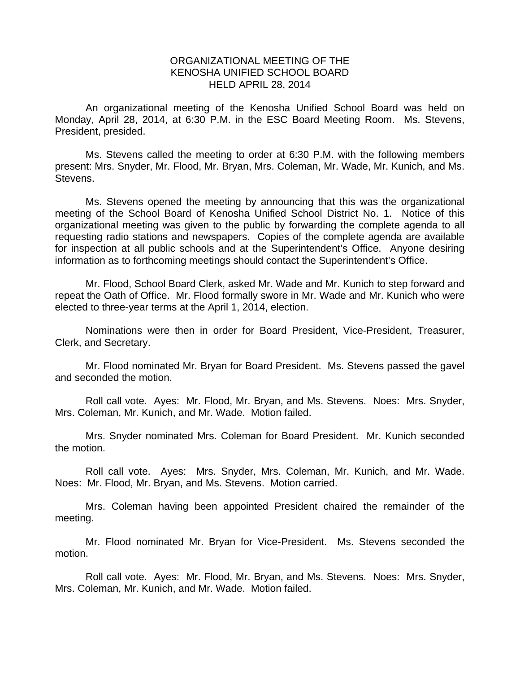## ORGANIZATIONAL MEETING OF THE KENOSHA UNIFIED SCHOOL BOARD HELD APRIL 28, 2014

 An organizational meeting of the Kenosha Unified School Board was held on Monday, April 28, 2014, at 6:30 P.M. in the ESC Board Meeting Room. Ms. Stevens, President, presided.

 Ms. Stevens called the meeting to order at 6:30 P.M. with the following members present: Mrs. Snyder, Mr. Flood, Mr. Bryan, Mrs. Coleman, Mr. Wade, Mr. Kunich, and Ms. Stevens.

 Ms. Stevens opened the meeting by announcing that this was the organizational meeting of the School Board of Kenosha Unified School District No. 1. Notice of this organizational meeting was given to the public by forwarding the complete agenda to all requesting radio stations and newspapers. Copies of the complete agenda are available for inspection at all public schools and at the Superintendent's Office. Anyone desiring information as to forthcoming meetings should contact the Superintendent's Office.

Mr. Flood, School Board Clerk, asked Mr. Wade and Mr. Kunich to step forward and repeat the Oath of Office. Mr. Flood formally swore in Mr. Wade and Mr. Kunich who were elected to three-year terms at the April 1, 2014, election.

Nominations were then in order for Board President, Vice-President, Treasurer, Clerk, and Secretary.

Mr. Flood nominated Mr. Bryan for Board President. Ms. Stevens passed the gavel and seconded the motion.

Roll call vote. Ayes: Mr. Flood, Mr. Bryan, and Ms. Stevens. Noes: Mrs. Snyder, Mrs. Coleman, Mr. Kunich, and Mr. Wade. Motion failed.

Mrs. Snyder nominated Mrs. Coleman for Board President. Mr. Kunich seconded the motion.

Roll call vote. Ayes: Mrs. Snyder, Mrs. Coleman, Mr. Kunich, and Mr. Wade. Noes: Mr. Flood, Mr. Bryan, and Ms. Stevens. Motion carried.

Mrs. Coleman having been appointed President chaired the remainder of the meeting.

Mr. Flood nominated Mr. Bryan for Vice-President. Ms. Stevens seconded the motion.

Roll call vote. Ayes: Mr. Flood, Mr. Bryan, and Ms. Stevens. Noes: Mrs. Snyder, Mrs. Coleman, Mr. Kunich, and Mr. Wade. Motion failed.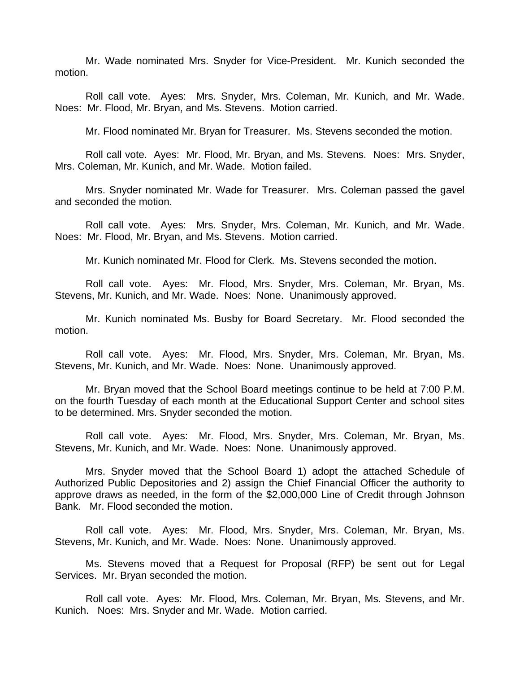Mr. Wade nominated Mrs. Snyder for Vice-President. Mr. Kunich seconded the motion.

Roll call vote. Ayes: Mrs. Snyder, Mrs. Coleman, Mr. Kunich, and Mr. Wade. Noes: Mr. Flood, Mr. Bryan, and Ms. Stevens. Motion carried.

Mr. Flood nominated Mr. Bryan for Treasurer. Ms. Stevens seconded the motion.

Roll call vote. Ayes: Mr. Flood, Mr. Bryan, and Ms. Stevens. Noes: Mrs. Snyder, Mrs. Coleman, Mr. Kunich, and Mr. Wade. Motion failed.

Mrs. Snyder nominated Mr. Wade for Treasurer. Mrs. Coleman passed the gavel and seconded the motion.

Roll call vote. Ayes: Mrs. Snyder, Mrs. Coleman, Mr. Kunich, and Mr. Wade. Noes: Mr. Flood, Mr. Bryan, and Ms. Stevens. Motion carried.

Mr. Kunich nominated Mr. Flood for Clerk. Ms. Stevens seconded the motion.

Roll call vote. Ayes: Mr. Flood, Mrs. Snyder, Mrs. Coleman, Mr. Bryan, Ms. Stevens, Mr. Kunich, and Mr. Wade. Noes: None. Unanimously approved.

Mr. Kunich nominated Ms. Busby for Board Secretary. Mr. Flood seconded the motion.

Roll call vote. Ayes: Mr. Flood, Mrs. Snyder, Mrs. Coleman, Mr. Bryan, Ms. Stevens, Mr. Kunich, and Mr. Wade. Noes: None. Unanimously approved.

Mr. Bryan moved that the School Board meetings continue to be held at 7:00 P.M. on the fourth Tuesday of each month at the Educational Support Center and school sites to be determined. Mrs. Snyder seconded the motion.

Roll call vote. Ayes: Mr. Flood, Mrs. Snyder, Mrs. Coleman, Mr. Bryan, Ms. Stevens, Mr. Kunich, and Mr. Wade. Noes: None. Unanimously approved.

Mrs. Snyder moved that the School Board 1) adopt the attached Schedule of Authorized Public Depositories and 2) assign the Chief Financial Officer the authority to approve draws as needed, in the form of the \$2,000,000 Line of Credit through Johnson Bank. Mr. Flood seconded the motion.

Roll call vote. Ayes: Mr. Flood, Mrs. Snyder, Mrs. Coleman, Mr. Bryan, Ms. Stevens, Mr. Kunich, and Mr. Wade. Noes: None. Unanimously approved.

Ms. Stevens moved that a Request for Proposal (RFP) be sent out for Legal Services. Mr. Bryan seconded the motion.

Roll call vote. Ayes: Mr. Flood, Mrs. Coleman, Mr. Bryan, Ms. Stevens, and Mr. Kunich. Noes: Mrs. Snyder and Mr. Wade. Motion carried.